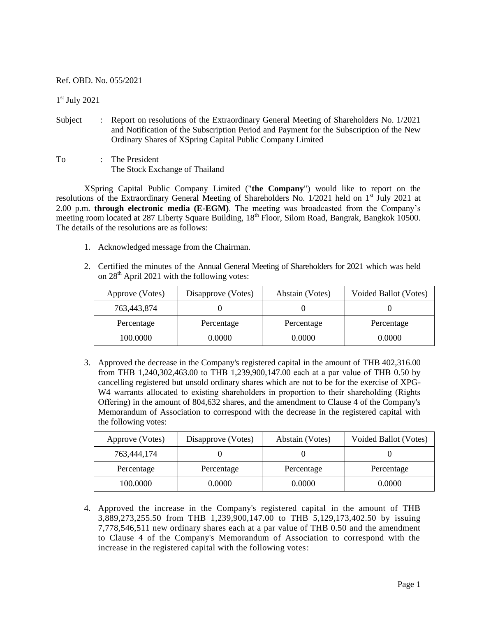Ref. OBD. No. 055/2021

1 st July 2021

- Subject : Report on resolutions of the Extraordinary General Meeting of Shareholders No. 1/2021 and Notification of the Subscription Period and Payment for the Subscription of the New Ordinary Shares of XSpring Capital Public Company Limited
- To : The President The Stock Exchange of Thailand

XSpring Capital Public Company Limited ("**the Company**") would like to report on the resolutions of the Extraordinary General Meeting of Shareholders No. 1/2021 held on 1<sup>st</sup> July 2021 at 2.00 p.m. **through electronic media (E-EGM)**. The meeting was broadcasted from the Company's meeting room located at 287 Liberty Square Building, 18<sup>th</sup> Floor, Silom Road, Bangrak, Bangkok 10500. The details of the resolutions are as follows:

- 1. Acknowledged message from the Chairman.
- 2. Certified the minutes of the Annual General Meeting of Shareholders for 2021 which was held on  $28<sup>th</sup>$  April 2021 with the following votes:

| Approve (Votes) | Disapprove (Votes) | Abstain (Votes) | Voided Ballot (Votes) |
|-----------------|--------------------|-----------------|-----------------------|
| 763,443,874     |                    |                 |                       |
| Percentage      | Percentage         | Percentage      | Percentage            |
| 100.0000        | 0.0000             | 0.0000          | 0.0000                |

3. Approved the decrease in the Company's registered capital in the amount of THB 402,316.00 from THB 1,240,302,463.00 to THB 1,239,900,147.00 each at a par value of THB 0.50 by cancelling registered but unsold ordinary shares which are not to be for the exercise of XPG-W<sub>4</sub> warrants allocated to existing shareholders in proportion to their shareholding (Rights) Offering) in the amount of 804,632 shares, and the amendment to Clause 4 of the Company's Memorandum of Association to correspond with the decrease in the registered capital with the following votes:

| Approve (Votes) | Disapprove (Votes) | Abstain (Votes) | Voided Ballot (Votes) |
|-----------------|--------------------|-----------------|-----------------------|
| 763,444,174     |                    |                 |                       |
| Percentage      | Percentage         | Percentage      | Percentage            |
| 100.0000        | 0.0000             | 0.0000          | 0.0000                |

4. Approved the increase in the Company's registered capital in the amount of THB 3,889,273,255.50 from THB 1,239,900,147.00 to THB 5,129,173,402.50 by issuing 7,778,546,511 new ordinary shares each at a par value of THB 0.50 and the amendment to Clause 4 of the Company's Memorandum of Association to correspond with the increase in the registered capital with the following votes: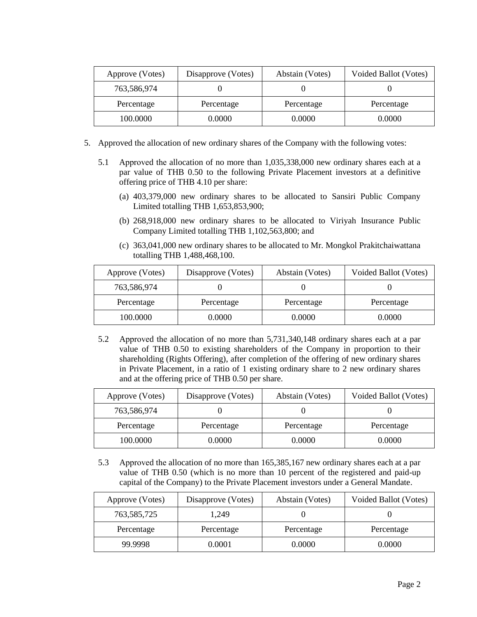| Approve (Votes) | Disapprove (Votes) | Abstain (Votes) | Voided Ballot (Votes) |
|-----------------|--------------------|-----------------|-----------------------|
| 763,586,974     |                    |                 |                       |
| Percentage      | Percentage         | Percentage      | Percentage            |
| 100.0000        | 0.0000             | 0.0000          | 0.0000                |

- 5. Approved the allocation of new ordinary shares of the Company with the following votes:
	- 5.1 Approved the allocation of no more than 1,035,338,000 new ordinary shares each at a par value of THB 0.50 to the following Private Placement investors at a definitive offering price of THB 4.10 per share:
		- (a) 403,379,000 new ordinary shares to be allocated to Sansiri Public Company Limited totalling THB 1,653,853,900;
		- (b) 268,918,000 new ordinary shares to be allocated to Viriyah Insurance Public Company Limited totalling THB 1,102,563,800; and
		- (c) 363,041,000 new ordinary shares to be allocated to Mr. Mongkol Prakitchaiwattana totalling THB 1,488,468,100.

| Approve (Votes) | Disapprove (Votes) | Abstain (Votes) | Voided Ballot (Votes) |
|-----------------|--------------------|-----------------|-----------------------|
| 763,586,974     |                    |                 |                       |
| Percentage      | Percentage         | Percentage      | Percentage            |
| 100.0000        | 0.0000             | 0.0000          | 0.0000                |

5.2 Approved the allocation of no more than 5,731,340,148 ordinary shares each at a par value of THB 0.50 to existing shareholders of the Company in proportion to their shareholding (Rights Offering), after completion of the offering of new ordinary shares in Private Placement, in a ratio of 1 existing ordinary share to 2 new ordinary shares and at the offering price of THB 0.50 per share.

| Approve (Votes) | Disapprove (Votes) | Abstain (Votes) | Voided Ballot (Votes) |
|-----------------|--------------------|-----------------|-----------------------|
| 763,586,974     |                    |                 |                       |
| Percentage      | Percentage         | Percentage      | Percentage            |
| 100.0000        | 0.0000             | 0.0000          | 0.0000                |

5.3 Approved the allocation of no more than 165,385,167 new ordinary shares each at a par value of THB 0.50 (which is no more than 10 percent of the registered and paid-up capital of the Company) to the Private Placement investors under a General Mandate.

| Approve (Votes) | Disapprove (Votes) | Abstain (Votes) | Voided Ballot (Votes) |
|-----------------|--------------------|-----------------|-----------------------|
| 763,585,725     | 1.249              |                 |                       |
| Percentage      | Percentage         | Percentage      | Percentage            |
| 99.9998         | 0.0001             | 0.0000          | 0.0000                |